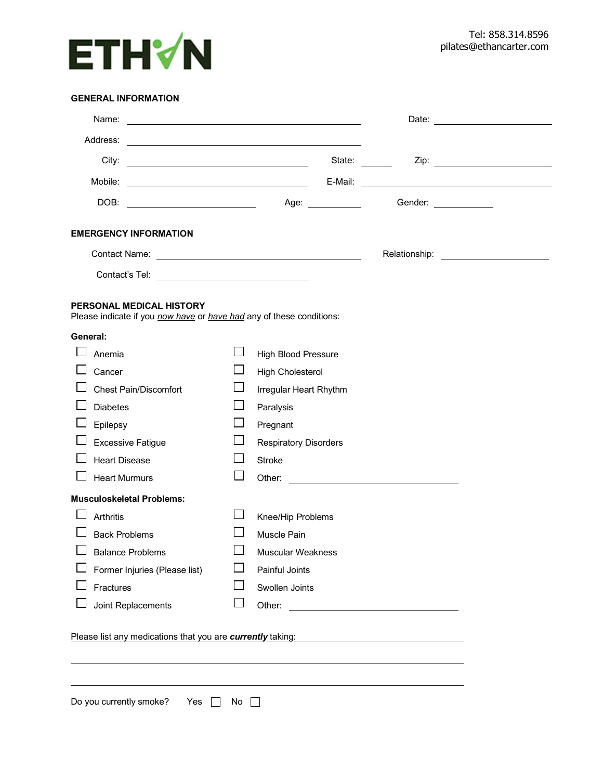

## **GENERAL INFORMATION**

| Address:                                                                                                       |                                                                   |              |                              |  |                       |  |  |
|----------------------------------------------------------------------------------------------------------------|-------------------------------------------------------------------|--------------|------------------------------|--|-----------------------|--|--|
|                                                                                                                |                                                                   |              |                              |  |                       |  |  |
|                                                                                                                |                                                                   |              |                              |  |                       |  |  |
|                                                                                                                |                                                                   |              |                              |  | Gender: _____________ |  |  |
| <b>EMERGENCY INFORMATION</b>                                                                                   |                                                                   |              |                              |  |                       |  |  |
|                                                                                                                |                                                                   |              |                              |  |                       |  |  |
| Contact's Tel: __________________________________                                                              |                                                                   |              |                              |  |                       |  |  |
| PERSONAL MEDICAL HISTORY<br>Please indicate if you <i>now have</i> or <i>have had</i> any of these conditions: |                                                                   |              |                              |  |                       |  |  |
| General:                                                                                                       |                                                                   |              |                              |  |                       |  |  |
| Anemia                                                                                                         |                                                                   |              | <b>High Blood Pressure</b>   |  |                       |  |  |
| Cancer                                                                                                         |                                                                   |              | <b>High Cholesterol</b>      |  |                       |  |  |
| <b>Chest Pain/Discomfort</b>                                                                                   |                                                                   | $\mathsf{L}$ | Irregular Heart Rhythm       |  |                       |  |  |
| <b>Diabetes</b>                                                                                                |                                                                   | $\mathsf{L}$ | Paralysis                    |  |                       |  |  |
| Epilepsy                                                                                                       |                                                                   | $\mathbf{L}$ | Pregnant                     |  |                       |  |  |
| <b>Excessive Fatigue</b>                                                                                       |                                                                   | $\Box$       | <b>Respiratory Disorders</b> |  |                       |  |  |
| <b>Heart Disease</b>                                                                                           |                                                                   |              | <b>Stroke</b>                |  |                       |  |  |
| <b>Heart Murmurs</b>                                                                                           |                                                                   |              |                              |  |                       |  |  |
| <b>Musculoskeletal Problems:</b>                                                                               |                                                                   |              |                              |  |                       |  |  |
| Arthritis                                                                                                      |                                                                   |              | Knee/Hip Problems            |  |                       |  |  |
| <b>Back Problems</b>                                                                                           |                                                                   |              | Muscle Pain                  |  |                       |  |  |
| <b>Balance Problems</b>                                                                                        |                                                                   |              | <b>Muscular Weakness</b>     |  |                       |  |  |
|                                                                                                                | Former Injuries (Please list)                                     |              | Painful Joints               |  |                       |  |  |
| Fractures                                                                                                      |                                                                   |              | Swollen Joints               |  |                       |  |  |
| Joint Replacements                                                                                             |                                                                   |              | Other:                       |  |                       |  |  |
|                                                                                                                | Please list any medications that you are <i>currently</i> taking: |              |                              |  |                       |  |  |
|                                                                                                                |                                                                   |              |                              |  |                       |  |  |
| Do you currently smoke?<br>Yes<br>No                                                                           |                                                                   |              |                              |  |                       |  |  |